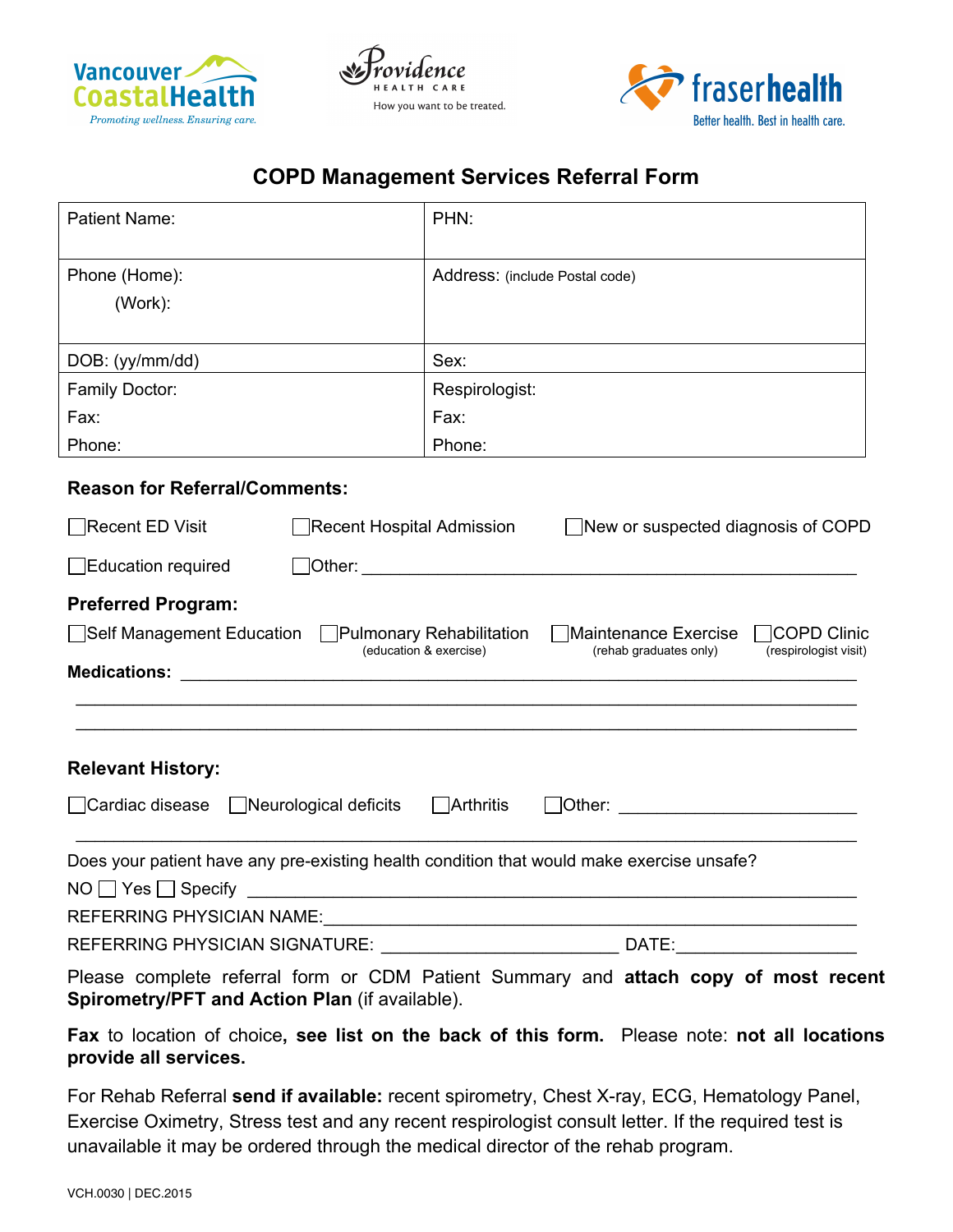





## **COPD Management Services Referral Form**

| Patient Name:                                                                                                                                                                                                                                                                                                     | PHN:                                                                                                            |  |
|-------------------------------------------------------------------------------------------------------------------------------------------------------------------------------------------------------------------------------------------------------------------------------------------------------------------|-----------------------------------------------------------------------------------------------------------------|--|
| Phone (Home):<br>(Work):                                                                                                                                                                                                                                                                                          | Address: (include Postal code)                                                                                  |  |
| DOB: (yy/mm/dd)                                                                                                                                                                                                                                                                                                   | Sex:                                                                                                            |  |
| <b>Family Doctor:</b>                                                                                                                                                                                                                                                                                             | Respirologist:                                                                                                  |  |
| Fax:                                                                                                                                                                                                                                                                                                              | Fax:                                                                                                            |  |
| Phone:                                                                                                                                                                                                                                                                                                            | Phone:                                                                                                          |  |
| <b>Reason for Referral/Comments:</b>                                                                                                                                                                                                                                                                              |                                                                                                                 |  |
| Recent ED Visit<br>Recent Hospital Admission                                                                                                                                                                                                                                                                      | New or suspected diagnosis of COPD                                                                              |  |
| Education required                                                                                                                                                                                                                                                                                                |                                                                                                                 |  |
| <b>Preferred Program:</b><br>Self Management Education Pulmonary Rehabilitation<br>Medications: 2008 and 2008 and 2008 and 2008 and 2008 and 2008 and 2008 and 2008 and 2008 and 2008 and 2008 and 2008 and 2008 and 2008 and 2008 and 2008 and 2008 and 2008 and 2008 and 2008 and 2008 and 2008 and 2008 and 20 | Maintenance Exercise   COPD Clinic<br>(education & exercise)<br>(rehab graduates only)<br>(respirologist visit) |  |
| <b>Relevant History:</b>                                                                                                                                                                                                                                                                                          |                                                                                                                 |  |
| □ Cardiac disease □ Neurological deficits                                                                                                                                                                                                                                                                         | $\Box$ Arthritis                                                                                                |  |
| Does your patient have any pre-existing health condition that would make exercise unsafe?                                                                                                                                                                                                                         | REFERRING PHYSICIAN NAME:                                                                                       |  |
|                                                                                                                                                                                                                                                                                                                   | REFERRING PHYSICIAN SIGNATURE: ___________________________________ DATE:____________________________            |  |
| Spirometry/PFT and Action Plan (if available).                                                                                                                                                                                                                                                                    | Please complete referral form or CDM Patient Summary and attach copy of most recent                             |  |

**Fax** to location of choice**, see list on the back of this form.** Please note: **not all locations provide all services.** 

For Rehab Referral **send if available:** recent spirometry, Chest X-ray, ECG, Hematology Panel, Exercise Oximetry, Stress test and any recent respirologist consult letter. If the required test is unavailable it may be ordered through the medical director of the rehab program.